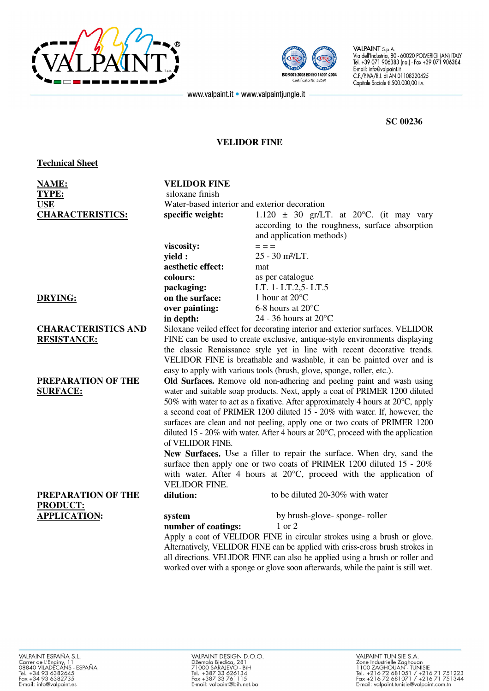



 $\begin{bmatrix} \text{Vid cell}} \text{JN} & \text{Vid cell} \end{bmatrix}$  and  $\begin{bmatrix} \text{A} & \text{A} & \text{B} & \text{B} \end{bmatrix}$  and  $\begin{bmatrix} \text{A} & \text{A} & \text{B} & \text{B} \end{bmatrix}$  and  $\begin{bmatrix} \text{A} & \text{A} & \text{B} & \text{B} \end{bmatrix}$ Tel. +39 07 1 906383 (r.a.) - Fax +39 0 001:2008 ED ISO 14001:2004<br>
C.F./P.IVA/R.I. di AN 01108220425<br>
Capitale Sociale  $\frac{6}{5}500.000.00, i.v.$ Capitale Sociale  $\in$  500.000,00 i.v.

www.valpaint.it • www.valpaintjungle.it

## **SC 00236**

## **VELIDOR FINE**

## **Technical Sheet**

| NAME:                      | <b>VELIDOR FINE</b><br>siloxane finish                                                                                                                          |                                                |
|----------------------------|-----------------------------------------------------------------------------------------------------------------------------------------------------------------|------------------------------------------------|
| TYPE:<br><b>USE</b>        | Water-based interior and exterior decoration                                                                                                                    |                                                |
|                            |                                                                                                                                                                 |                                                |
| <b>CHARACTERISTICS:</b>    | specific weight:                                                                                                                                                | 1.120 $\pm$ 30 gr/LT. at 20°C. (it may vary    |
|                            |                                                                                                                                                                 | according to the roughness, surface absorption |
|                            |                                                                                                                                                                 | and application methods)                       |
|                            | viscosity:                                                                                                                                                      | $=$ $=$ $=$                                    |
|                            | yield :                                                                                                                                                         | 25 - 30 m <sup>2</sup> /LT.                    |
|                            | aesthetic effect:                                                                                                                                               | mat                                            |
|                            | colours:                                                                                                                                                        | as per catalogue                               |
|                            | packaging:                                                                                                                                                      | LT. 1-LT.2,5-LT.5                              |
| <b>DRYING:</b>             | on the surface:                                                                                                                                                 | 1 hour at 20°C                                 |
|                            | over painting:                                                                                                                                                  | 6-8 hours at $20^{\circ}$ C                    |
|                            | in depth:                                                                                                                                                       | 24 - 36 hours at $20^{\circ}$ C                |
| <b>CHARACTERISTICS AND</b> | Siloxane veiled effect for decorating interior and exterior surfaces. VELIDOR                                                                                   |                                                |
| <b>RESISTANCE:</b>         | FINE can be used to create exclusive, antique-style environments displaying                                                                                     |                                                |
|                            | the classic Renaissance style yet in line with recent decorative trends.                                                                                        |                                                |
|                            | VELIDOR FINE is breathable and washable, it can be painted over and is                                                                                          |                                                |
|                            | easy to apply with various tools (brush, glove, sponge, roller, etc.).                                                                                          |                                                |
| PREPARATION OF THE         | Old Surfaces. Remove old non-adhering and peeling paint and wash using                                                                                          |                                                |
| <b>SURFACE:</b>            | water and suitable soap products. Next, apply a coat of PRIMER 1200 diluted                                                                                     |                                                |
|                            | 50% with water to act as a fixative. After approximately 4 hours at $20^{\circ}$ C, apply                                                                       |                                                |
|                            | a second coat of PRIMER 1200 diluted 15 - 20% with water. If, however, the                                                                                      |                                                |
|                            | surfaces are clean and not peeling, apply one or two coats of PRIMER 1200                                                                                       |                                                |
|                            | diluted 15 - 20% with water. After 4 hours at $20^{\circ}$ C, proceed with the application                                                                      |                                                |
|                            | of VELIDOR FINE.<br>New Surfaces. Use a filler to repair the surface. When dry, sand the<br>surface then apply one or two coats of PRIMER 1200 diluted 15 - 20% |                                                |
|                            |                                                                                                                                                                 |                                                |
|                            |                                                                                                                                                                 |                                                |
|                            | with water. After 4 hours at $20^{\circ}$ C, proceed with the application of                                                                                    |                                                |
|                            | <b>VELIDOR FINE.</b>                                                                                                                                            |                                                |
| PREPARATION OF THE         | dilution:                                                                                                                                                       | to be diluted 20-30% with water                |
| <b>PRODUCT:</b>            |                                                                                                                                                                 |                                                |
| <b>APPLICATION:</b>        |                                                                                                                                                                 | by brush-glove-sponge-roller                   |
|                            | system                                                                                                                                                          | 1 or 2                                         |
|                            | number of coatings:                                                                                                                                             |                                                |
|                            | Apply a coat of VELIDOR FINE in circular strokes using a brush or glove.                                                                                        |                                                |
|                            | Alternatively, VELIDOR FINE can be applied with criss-cross brush strokes in                                                                                    |                                                |
|                            | all directions. VELIDOR FINE can also be applied using a brush or roller and                                                                                    |                                                |
|                            | worked over with a sponge or glove soon afterwards, while the paint is still wet.                                                                               |                                                |